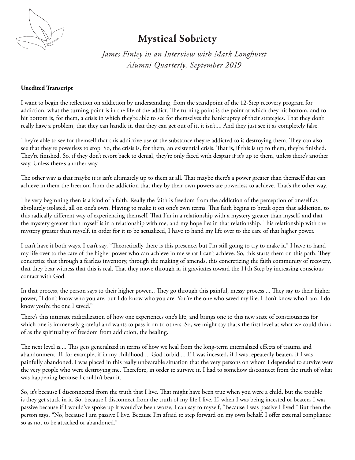

## **Mystical Sobriety**

*James Finley in an Interview with Mark Longhurst Alumni Quarterly, September 2019*

## **Unedited Transcript**

I want to begin the reflection on addiction by understanding, from the standpoint of the 12-Step recovery program for addiction, what the turning point is in the life of the addict. The turning point is the point at which they hit bottom, and to hit bottom is, for them, a crisis in which they're able to see for themselves the bankruptcy of their strategies. That they don't really have a problem, that they can handle it, that they can get out of it, it isn't.... And they just see it as completely false.

They're able to see for themself that this addictive use of the substance they're addicted to is destroying them. They can also see that they're powerless to stop. So, the crisis is, for them, an existential crisis. That is, if this is up to them, they're finished. They're finished. So, if they don't resort back to denial, they're only faced with despair if it's up to them, unless there's another way. Unless there's another way.

The other way is that maybe it is isn't ultimately up to them at all. That maybe there's a power greater than themself that can achieve in them the freedom from the addiction that they by their own powers are powerless to achieve. That's the other way.

The very beginning then is a kind of a faith. Really the faith is freedom from the addiction of the perception of oneself as absolutely isolated, all on one's own. Having to make it on one's own terms. This faith begins to break open that addiction, to this radically different way of experiencing themself. That I'm in a relationship with a mystery greater than myself, and that the mystery greater than myself is in a relationship with me, and my hope lies in that relationship. This relationship with the mystery greater than myself, in order for it to be actualized, I have to hand my life over to the care of that higher power.

I can't have it both ways. I can't say, "Theoretically there is this presence, but I'm still going to try to make it." I have to hand my life over to the care of the higher power who can achieve in me what I can't achieve. So, this starts them on this path. They concretize that through a fearless inventory, through the making of amends, this concretizing the faith community of recovery, that they bear witness that this is real. That they move through it, it gravitates toward the 11th Step by increasing conscious contact with God.

In that process, the person says to their higher power... They go through this painful, messy process ... They say to their higher power, "I don't know who you are, but I do know who you are. You're the one who saved my life. I don't know who I am. I do know you're the one I saved."

There's this intimate radicalization of how one experiences one's life, and brings one to this new state of consciousness for which one is immensely grateful and wants to pass it on to others. So, we might say that's the first level at what we could think of as the spirituality of freedom from addiction, the healing.

The next level is.... This gets generalized in terms of how we heal from the long-term internalized effects of trauma and abandonment. If, for example, if in my childhood ... God forbid ... If I was incested, if I was repeatedly beaten, if I was painfully abandoned. I was placed in this really unbearable situation that the very persons on whom I depended to survive were the very people who were destroying me. Therefore, in order to survive it, I had to somehow disconnect from the truth of what was happening because I couldn't bear it.

So, it's because I disconnected from the truth that I live. That might have been true when you were a child, but the trouble is they get stuck in it. So, because I disconnect from the truth of my life I live. If, when I was being incested or beaten, I was passive because if I would've spoke up it would've been worse, I can say to myself, "Because I was passive I lived." But then the person says, "No, because I am passive I live. Because I'm afraid to step forward on my own behalf. I offer external compliance so as not to be attacked or abandoned."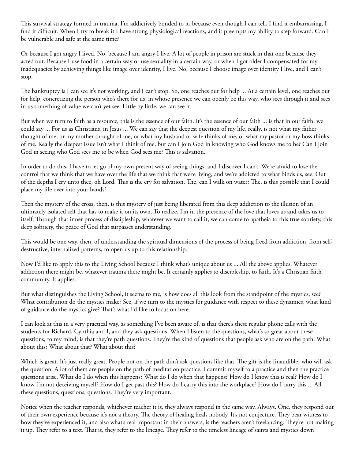This survival strategy formed in trauma, I'm addictively bonded to it, because even though I can tell, I find it embarrassing, I find it difficult. When I try to break it I have strong physiological reactions, and it preempts my ability to step forward. Can I be vulnerable and safe at the same time?

Or because I got angry I lived. No, because I am angry I live. A lot of people in prison are stuck in that one because they acted out. Because I use food in a certain way or use sexuality in a certain way, or when I got older I compensated for my inadequacies by achieving things like image over identity, I live. No, because I choose image over identity I live, and I can't stop.

The bankruptcy is I can see it's not working, and I can't stop. So, one reaches out for help ... At a certain level, one reaches out for help, concretizing the person who's there for us, in whose presence we can openly be this way, who sees through it and sees in us something of value we can't yet see. Little by little, we can see it.

But when we turn to faith as a resource, this is the essence of our faith. It's the essence of our faith ... is that in our faith, we could say ... For us as Christians, in Jesus ... We can say that the deepest question of my life, really, is not what my father thought of me, or my mother thought of me, or what my husband or wife thinks of me, or what my pastor or my boss thinks of me. Really the deepest issue isn't what I think of me, but can I join God in knowing who God knows me to be? Can I join God in seeing who God sees me to be when God sees me? This is salvation.

In order to do this, I have to let go of my own present way of seeing things, and I discover I can't. We're afraid to lose the control that we think that we have over the life that we think that we're living, and we're addicted to what binds us, see. Out of the depths I cry unto thee, oh Lord. This is the cry for salvation. The, can I walk on water? The, is this possible that I could place my life over into your hands?

Then the mystery of the cross, then, is this mystery of just being liberated from this deep addiction to the illusion of an ultimately isolated self that has to make it on its own. To realize, I'm in the presence of the love that loves us and takes us to itself. Through that inner process of discipleship, whatever we want to call it, we can come to apatheia to this true sobriety, this deep sobriety, the peace of God that surpasses understanding.

This would be one way, then, of understanding the spiritual dimensions of the process of being freed from addiction, from selfdestructive, internalized patterns, to open us up to this relationship.

Now I'd like to apply this to the Living School because I think what's unique about us ... All the above applies. Whatever addiction there might be, whatever trauma there might be. It certainly applies to discipleship, to faith. It's a Christian faith community. It applies.

But what distinguishes the Living School, it seems to me, is how does all this look from the standpoint of the mystics, see? What contribution do the mystics make? See, if we turn to the mystics for guidance with respect to these dynamics, what kind of guidance do the mystics give? That's what I'd like to focus on here.

I can look at this in a very practical way, as something I've been aware of, is that there's these regular phone calls with the students for Richard, Cynthia and I, and they ask questions. When I listen to the questions, what's so great about these questions, to my mind, is that they're path questions. They're the kind of questions that people ask who are on the path. What about this? What about that? What about this?

Which is great. It's just really great. People not on the path don't ask questions like that. The gift is the [inaudible] who will ask the question. A lot of them are people on the path of meditation practice. I commit myself to a practice and then the practice questions arise. What do I do when this happens? What do I do when that happens? How do I know this is real? How do I know I'm not deceiving myself? How do I get past this? How do I carry this into the workplace? How do I carry this ... All these questions, questions, questions. They're very important.

Notice when the teacher responds, whichever teacher it is, they always respond in the same way. Always. One, they respond out of their own experience because it's not a theory. The theory of healing heals nobody. It's not conjecture. They bear witness to how they've experienced it, and also what's real important in their answers, is the teachers aren't freelancing. They're not making it up. They refer to a text. That is, they refer to the lineage. They refer to the timeless lineage of saints and mystics down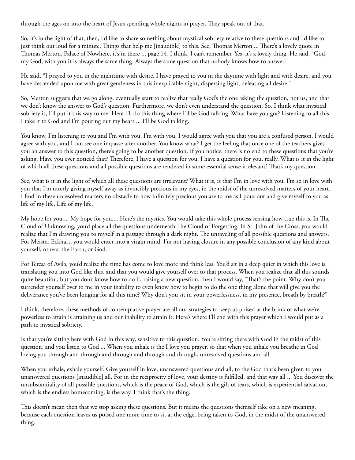through the ages on into the heart of Jesus spending whole nights in prayer. They speak out of that.

So, it's in the light of that, then, I'd like to share something about mystical sobriety relative to these questions and I'd like to just think out loud for a minute. Things that help me [inaudible] to this. See, Thomas Merton ... There's a lovely quote in Thomas Merton, Palace of Nowhere, it's in there ... page 14, I think. I can't remember. Yes, it's a lovely thing. He said, "God, my God, with you it is always the same thing. Always the same question that nobody knows how to answer."

He said, "I prayed to you in the nighttime with desire. I have prayed to you in the daytime with light and with desire, and you have descended upon me with great gentleness in this inexplicable night, dispersing light, defeating all desire."

So, Merton suggests that we go along, eventually start to realize that really God's the one asking the question, not us, and that we don't know the answer to God's question. Furthermore, we don't even understand the question. So, I think what mystical sobriety is, I'll put it this way to me. Here I'll do this thing where I'll be God talking. What have you got? Listening to all this. I take it to God and I'm pouring out my heart ... I'll be God talking.

You know, I'm listening to you and I'm with you. I'm with you. I would agree with you that you are a confused person. I would agree with you, and I can see one impasse after another. You know what? I get the feeling that once one of the teachers gives you an answer to this question, there's going to be another question. If you notice, there is no end to these questions that you're asking. Have you ever noticed that? Therefore, I have a question for you. I have a question for you, really. What is it in the light of which all these questions and all possible questions are rendered in some essential sense irrelevant? That's my question.

See, what is it in the light of which all these questions are irrelevant? What it is, is that I'm in love with you. I'm so in love with you that I'm utterly giving myself away as invincibly precious in my eyes, in the midst of the unresolved matters of your heart. I find in these unresolved matters no obstacle to how infinitely precious you are to me as I pour out and give myself to you as life of my life. Life of my life.

My hope for you.... My hope for you.... Here's the mystics. You would take this whole process sensing how true this is. In The Cloud of Unknowing, you'd place all the questions underneath The Cloud of Forgetting. In St. John of the Cross, you would realize that I'm drawing you to myself in a passage through a dark night. The unraveling of all possible questions and answers. For Meister Eckhart, you would enter into a virgin mind. I'm not having closure in any possible conclusion of any kind about yourself, others, the Earth, or God.

For Teresa of Avila, you'd realize the time has come to love more and think less. You'd sit in a deep quiet in which this love is translating you into God like this, and that you would give yourself over to that process. When you realize that all this sounds quite beautiful, but you don't know how to do it, raising a new question, then I would say, "That's the point. Why don't you surrender yourself over to me in your inability to even know how to begin to do the one thing alone that will give you the deliverance you've been longing for all this time? Why don't you sit in your powerlessness, in my presence, breath by breath?"

I think, therefore, these methods of contemplative prayer are all our strategies to keep us poised at the brink of what we're powerless to attain is attaining us and our inability to attain it. Here's where I'll end with this prayer which I would put as a path to mystical sobriety.

Is that you're sitting here with God in this way, sensitive to this question. You're sitting there with God in the midst of this question, and you listen to God ... When you inhale is the I love you prayer, so that when you inhale you breathe in God loving you through and through and through and through and through, unresolved questions and all.

When you exhale, exhale yourself. Give yourself in love, unanswered questions and all, to the God that's been given to you unanswered questions [inaudible] all. For in the reciprocity of love, your destiny is fulfilled, and that way all ... You discover the unsubstantiality of all possible questions, which is the peace of God, which is the gift of tears, which is experiential salvation, which is the endless homecoming, is the way. I think that's the thing.

This doesn't mean then that we stop asking these questions. But it means the questions themself take on a new meaning, because each question leaves us poised one more time to sit at the edge, being taken to God, in the midst of the unanswered thing.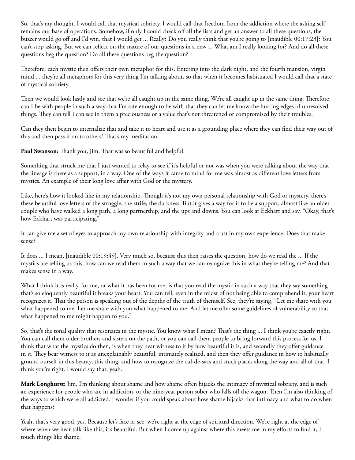So, that's my thought. I would call that mystical sobriety. I would call that freedom from the addiction where the asking self remains our base of operations. Somehow, if only I could check off all the lists and get an answer to all these questions, the buzzer would go off and I'd win, that I would get ... Really? Do you really think that you're going to [inaudible 00:17:23]? You can't stop asking. But we can reflect on the nature of our questions in a new ... What am I really looking for? And do all these questions beg the question? Do all these questions beg the question?

Therefore, each mystic then offers their own metaphor for this. Entering into the dark night, and the fourth mansion, virgin mind ... they're all metaphors for this very thing I'm talking about, so that when it becomes habituated I would call that a state of mystical sobriety.

Then we would look lastly and see that we're all caught up in the same thing. We're all caught up in the same thing. Therefore, can I be with people in such a way that I'm safe enough to be with that they can let me know the hurting edges of unresolved things. They can tell I can see in them a preciousness or a value that's not threatened or compromised by their troubles.

Can they then begin to internalize that and take it to heart and use it as a grounding place where they can find their way out of this and then pass it on to others? That's my meditation.

**Paul Swanson:** Thank you, Jim. That was so beautiful and helpful.

Something that struck me that I just wanted to relay to see if it's helpful or not was when you were talking about the way that the lineage is there as a support, in a way. One of the ways it came to mind for me was almost as different love letters from mystics. An example of their long love affair with God or the mystery.

Like, here's how it looked like in my relationship. Though it's not my own personal relationship with God or mystery, there's these beautiful love letters of the struggle, the strife, the darkness. But it gives a way for it to be a support, almost like an older couple who have walked a long path, a long partnership, and the ups and downs. You can look at Eckhart and say, "Okay, that's how Eckhart was participating."

It can give me a set of eyes to approach my own relationship with integrity and trust in my own experience. Does that make sense?

It does ... I mean, [inaudible 00:19:49]. Very much so, because this then raises the question, how do we read the ... If the mystics are telling us this, how can we read them in such a way that we can recognize this in what they're telling me? And that makes sense in a way.

What I think it is really, for me, or what it has been for me, is that you read the mystic in such a way that they say something that's so eloquently beautiful it breaks your heart. You can tell, even in the midst of not being able to comprehend it, your heart recognizes it. That the person is speaking out of the depths of the truth of themself. See, they're saying, "Let me share with you what happened to me. Let me share with you what happened to me. And let me offer some guidelines of vulnerability so that what happened to me might happen to you."

So, that's the tonal quality that resonates in the mystic. You know what I mean? That's the thing ... I think you're exactly right. You can call them older brothers and sisters on the path, or you can call them people to bring forward this process for us. I think that what the mystics do then, is when they bear witness to it by how beautiful it is, and secondly they offer guidance in it. They bear witness to it as unexplainably beautiful, intimately realized, and then they offer guidance in how to habitually ground ourself in this beauty, this thing, and how to recognize the cul-de-sacs and stuck places along the way and all of that. I think you're right. I would say that, yeah.

**Mark Longhurst:** Jim, I'm thinking about shame and how shame often hijacks the intimacy of mystical sobriety, and is such an experience for people who are in addiction, or the nine-year person sober who falls off the wagon. Then I'm also thinking of the ways to which we're all addicted. I wonder if you could speak about how shame hijacks that intimacy and what to do when that happens?

Yeah, that's very good, yes. Because let's face it, see, we're right at the edge of spiritual direction. We're right at the edge of where when we hear talk like this, it's beautiful. But when I come up against where this meets me in my efforts to find it, I touch things like shame.